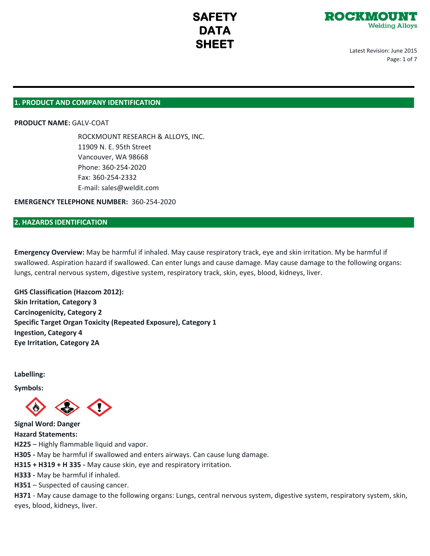

Latest Revision: June 2015 Page: 1 of 7

### **1. PRODUCT AND COMPANY IDENTIFICATION**

**PRODUCT NAME:** GALV-COAT

ROCKMOUNT RESEARCH & ALLOYS, INC. 11909 N. E. 95th Street Vancouver, WA 98668 Phone: 360-254-2020 Fax: 360-254-2332 E-mail: sales@weldit.com

**EMERGENCY TELEPHONE NUMBER:** 360-254-2020

# **2. HAZARDS IDENTIFICATION**

**Emergency Overview:** May be harmful if inhaled. May cause respiratory track, eye and skin irritation. My be harmful if swallowed. Aspiration hazard if swallowed. Can enter lungs and cause damage. May cause damage to the following organs: lungs, central nervous system, digestive system, respiratory track, skin, eyes, blood, kidneys, liver.

**GHS Classification (Hazcom 2012): Skin Irritation, Category 3 Carcinogenicity, Category 2 Specific Target Organ Toxicity (Repeated Exposure), Category 1 Ingestion, Category 4 Eye Irritation, Category 2A**

**Labelling:**

**Symbols:**

**Signal Word: Danger Hazard Statements: H225** – Highly flammable liquid and vapor. **H305 -** May be harmful if swallowed and enters airways. Can cause lung damage. **H315 + H319 + H 335 -** May cause skin, eye and respiratory irritation. **H333 -** May be harmful if inhaled.

**H351** – Suspected of causing cancer.

**H371** - May cause damage to the following organs: Lungs, central nervous system, digestive system, respiratory system, skin, eyes, blood, kidneys, liver.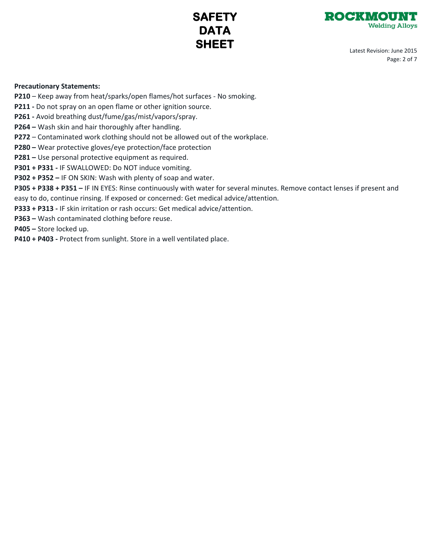



Latest Revision: June 2015 Page: 2 of 7

## **Precautionary Statements:**

- **P210**  Keep away from heat/sparks/open flames/hot surfaces No smoking.
- **P211** Do not spray on an open flame or other ignition source.
- **P261** Avoid breathing dust/fume/gas/mist/vapors/spray.
- **P264** Wash skin and hair thoroughly after handling.
- **P272** Contaminated work clothing should not be allowed out of the workplace.
- **P280** Wear protective gloves/eye protection/face protection
- **P281** Use personal protective equipment as required.
- **P301 + P331** IF SWALLOWED: Do NOT induce vomiting.
- **P302 + P352** IF ON SKIN: Wash with plenty of soap and water.
- **P305 + P338 + P351 –** IF IN EYES: Rinse continuously with water for several minutes. Remove contact lenses if present and
- easy to do, continue rinsing. If exposed or concerned: Get medical advice/attention.
- **P333 + P313** IF skin irritation or rash occurs: Get medical advice/attention.
- **P363** Wash contaminated clothing before reuse.
- **P405** Store locked up.
- P410 + P403 Protect from sunlight. Store in a well ventilated place.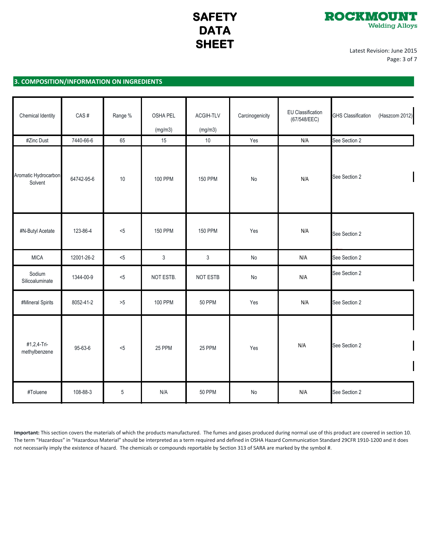

Latest Revision: June 2015 Page: 3 of 7

# **3. COMPOSITION/INFORMATION ON INGREDIENTS**

| Chemical Identity               | CAS#       | Range %     | OSHA PEL<br>(mg/m3) | ACGIH-TLV<br>(mg/m3) | Carcinogenicity | <b>EU Classification</b><br>(67/548/EEC) | (Haszcom 2012)<br><b>GHS Classification</b> |
|---------------------------------|------------|-------------|---------------------|----------------------|-----------------|------------------------------------------|---------------------------------------------|
| #Zinc Dust                      | 7440-66-6  | 65          | 15                  | 10                   | Yes             | N/A                                      | See Section 2                               |
| Aromatic Hydrocarbon<br>Solvent | 64742-95-6 | $10$        | <b>100 PPM</b>      | <b>150 PPM</b>       | No              | N/A                                      | See Section 2                               |
| #N-Butyl Acetate                | 123-86-4   | < 5         | <b>150 PPM</b>      | <b>150 PPM</b>       | Yes             | N/A                                      | See Section 2                               |
| <b>MICA</b>                     | 12001-26-2 | $<5$        | $\mathsf 3$         | $\mathfrak{Z}$       | No              | N/A                                      | See Section 2                               |
| Sodium<br>Silicoaluminate       | 1344-00-9  | $< 5$       | NOT ESTB.           | NOT ESTB             | No              | N/A                                      | See Section 2                               |
| #Mineral Spirits                | 8052-41-2  | $>5$        | <b>100 PPM</b>      | <b>50 PPM</b>        | Yes             | N/A                                      | See Section 2                               |
| #1,2,4-Tri-<br>methylbenzene    | 95-63-6    | $5$         | 25 PPM              | 25 PPM               | Yes             | N/A                                      | See Section 2                               |
| #Toluene                        | 108-88-3   | $\,$ 5 $\,$ | N/A                 | <b>50 PPM</b>        | No              | N/A                                      | See Section 2                               |

**Important:** This section covers the materials of which the products manufactured. The fumes and gases produced during normal use of this product are covered in section 10. The term "Hazardous" in "Hazardous Material" should be interpreted as a term required and defined in OSHA Hazard Communication Standard 29CFR 1910-1200 and it does not necessarily imply the existence of hazard. The chemicals or compounds reportable by Section 313 of SARA are marked by the symbol #.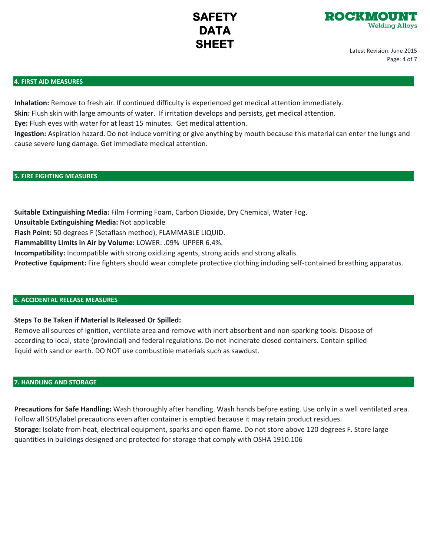

Latest Revision: June 2015 Page: 4 of 7

#### **4. FIRST AID MEASURES**

**Inhalation:** Remove to fresh air. If continued difficulty is experienced get medical attention immediately. **Skin:** Flush skin with large amounts of water. If irritation develops and persists, get medical attention.

**Eye:** Flush eyes with water for at least 15 minutes. Get medical attention.

**Ingestion:** Aspiration hazard. Do not induce vomiting or give anything by mouth because this material can enter the lungs and cause severe lung damage. Get immediate medical attention.

## **5. FIRE FIGHTING MEASURES**

**Suitable Extinguishing Media:** Film Forming Foam, Carbon Dioxide, Dry Chemical, Water Fog. **Unsuitable Extinguishing Media:** Not applicable

**Flash Point:** 50 degrees F (Setaflash method), FLAMMABLE LIQUID.

**Flammability Limits in Air by Volume:** LOWER: .09% UPPER 6.4%.

**Incompatibility:** Incompatible with strong oxidizing agents, strong acids and strong alkalis.

**Protective Equipment:** Fire fighters should wear complete protective clothing including self-contained breathing apparatus.

#### **6. ACCIDENTAL RELEASE MEASURES**

## **Steps To Be Taken if Material Is Released Or Spilled:**

Remove all sources of ignition, ventilate area and remove with inert absorbent and non-sparking tools. Dispose of according to local, state (provincial) and federal regulations. Do not incinerate closed containers. Contain spilled liquid with sand or earth. DO NOT use combustible materials such as sawdust.

#### **7. HANDLING AND STORAGE**

**Precautions for Safe Handling:** Wash thoroughly after handling. Wash hands before eating. Use only in a well ventilated area. Follow all SDS/label precautions even after container is emptied because it may retain product residues. **Storage:** Isolate from heat, electrical equipment, sparks and open flame. Do not store above 120 degrees F. Store large quantities in buildings designed and protected for storage that comply with OSHA 1910.106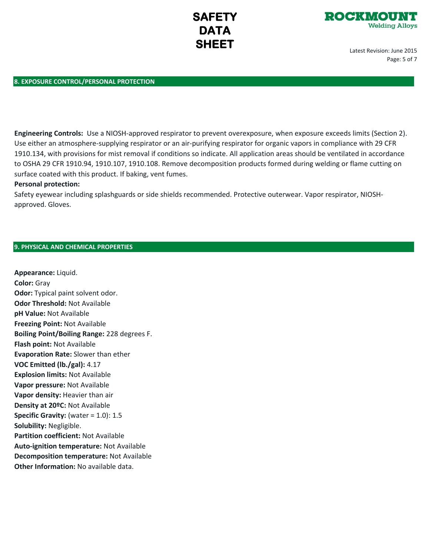

Latest Revision: June 2015 Page: 5 of 7

### **8. EXPOSURE CONTROL/PERSONAL PROTECTION**

**Engineering Controls:** Use a NIOSH-approved respirator to prevent overexposure, when exposure exceeds limits (Section 2). Use either an atmosphere-supplying respirator or an air-purifying respirator for organic vapors in compliance with 29 CFR 1910.134, with provisions for mist removal if conditions so indicate. All application areas should be ventilated in accordance to OSHA 29 CFR 1910.94, 1910.107, 1910.108. Remove decomposition products formed during welding or flame cutting on surface coated with this product. If baking, vent fumes.

#### **Personal protection:**

Safety eyewear including splashguards or side shields recommended. Protective outerwear. Vapor respirator, NIOSHapproved. Gloves.

## **9. PHYSICAL AND CHEMICAL PROPERTIES**

**Appearance:** Liquid. **Color:** Gray **Odor:** Typical paint solvent odor. **Odor Threshold:** Not Available **pH Value:** Not Available **Freezing Point:** Not Available **Boiling Point/Boiling Range:** 228 degrees F. **Flash point:** Not Available **Evaporation Rate:** Slower than ether **VOC Emitted (lb./gal):** 4.17 **Explosion limits:** Not Available **Vapor pressure:** Not Available **Vapor density:** Heavier than air **Density at 20ºC:** Not Available **Specific Gravity:** (water = 1.0): 1.5 **Solubility:** Negligible. **Partition coefficient:** Not Available **Auto-ignition temperature:** Not Available **Decomposition temperature:** Not Available **Other Information:** No available data.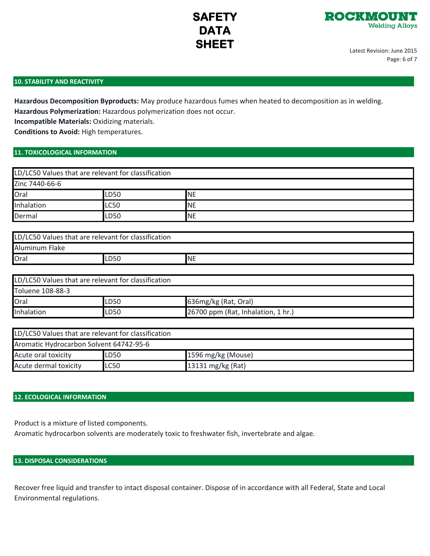

Latest Revision: June 2015 Page: 6 of 7

## **10. STABILITY AND REACTIVITY**

**Hazardous Decomposition Byproducts:** May produce hazardous fumes when heated to decomposition as in welding.

**Hazardous Polymerization:** Hazardous polymerization does not occur.

**Incompatible Materials:** Oxidizing materials.

**Conditions to Avoid:** High temperatures.

## **11. TOXICOLOGICAL INFORMATION**

|                | LD/LC50 Values that are relevant for classification |            |  |
|----------------|-----------------------------------------------------|------------|--|
| Zinc 7440-66-6 |                                                     |            |  |
| Oral           | <b>LD50</b>                                         | <b>NE</b>  |  |
| Inhalation     | <b>LC50</b>                                         | <b>INE</b> |  |
| Dermal         | <b>LD50</b>                                         | <b>NE</b>  |  |

| LD/LC50 Values that are relevant for classification |      |           |
|-----------------------------------------------------|------|-----------|
| Aluminum Flake                                      |      |           |
| Oral                                                | LD50 | <b>NE</b> |

| LD/LC50 Values that are relevant for classification |      |                                    |  |
|-----------------------------------------------------|------|------------------------------------|--|
| Toluene 108-88-3                                    |      |                                    |  |
| Oral                                                | LD50 | 636mg/kg (Rat, Oral)               |  |
| Inhalation                                          | LD50 | 26700 ppm (Rat, Inhalation, 1 hr.) |  |

| LD/LC50 Values that are relevant for classification |             |                    |  |
|-----------------------------------------------------|-------------|--------------------|--|
| Aromatic Hydrocarbon Solvent 64742-95-6             |             |                    |  |
| Acute oral toxicity                                 | <b>LD50</b> | 1596 mg/kg (Mouse) |  |
| Acute dermal toxicity                               | <b>LC50</b> | 13131 mg/kg (Rat)  |  |

## **12. ECOLOGICAL INFORMATION**

Product is a mixture of listed components.

Aromatic hydrocarbon solvents are moderately toxic to freshwater fish, invertebrate and algae.

## **13. DISPOSAL CONSIDERATIONS**

Recover free liquid and transfer to intact disposal container. Dispose of in accordance with all Federal, State and Local Environmental regulations.